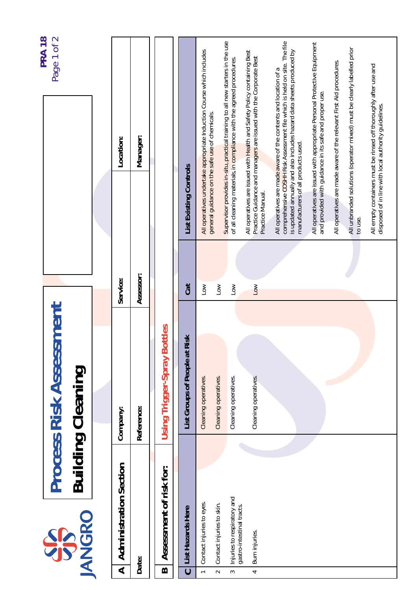|                          |                                                          |                                                            |                  |                                                                                                                                                                                                                                                            | <b>PRA 18</b> |
|--------------------------|----------------------------------------------------------|------------------------------------------------------------|------------------|------------------------------------------------------------------------------------------------------------------------------------------------------------------------------------------------------------------------------------------------------------|---------------|
|                          | <b>JANGRO</b><br>SP                                      | <b>Process Risk Assessment</b><br><b>Building Cleaning</b> |                  |                                                                                                                                                                                                                                                            | Page 1 of 2   |
|                          |                                                          |                                                            |                  |                                                                                                                                                                                                                                                            |               |
| $\blacktriangleleft$     | <b>Administration Section</b>                            | Company:                                                   | Service:         | Location:                                                                                                                                                                                                                                                  |               |
|                          | Date:                                                    | Reference:                                                 | Assessor:        | Manager:                                                                                                                                                                                                                                                   |               |
| $\boldsymbol{\Omega}$    | Assessment of risk for:                                  | <b>Using Trigger-Spray Bottles</b>                         |                  |                                                                                                                                                                                                                                                            |               |
| $\mathbf C$              | List Hazards Here                                        | List Groups of People at Risk                              | Cat              | <b>List Existing Controls</b>                                                                                                                                                                                                                              |               |
| $\overline{\phantom{0}}$ | Contact injuries to eyes.                                | Cleaning operatives.                                       | $\overline{100}$ | All operatives undertake appropriate Induction Course which includes                                                                                                                                                                                       |               |
| $\sim$                   | Contact injuries to skin.                                | Cleaning operatives.                                       | $\sum_{i=1}^{n}$ | general guidance on the safe use of chemicals.                                                                                                                                                                                                             |               |
| 2                        | Injuries to respiratory and<br>gastro-intestinal tracts. | Cleaning operatives.                                       | $\sum_{i=1}^{n}$ | Supervisor provides in-situ, practical training to all new starters in the use<br>of all cleaning materials, in compliance with the agreed procedures.                                                                                                     |               |
| 4                        | Burn injuries.                                           | Cleaning operatives.                                       | $\overline{a}$   | All operatives are issued with Health and Safety Policy containing Best<br>Practice Guidance and managers are issued with the Corporate Best<br>Practice Manual.                                                                                           |               |
|                          |                                                          |                                                            |                  | comprehensive COSHH Risk Assessment file which is held on site. The file<br>is updated annually and also includes hazard data sheets produced by<br>All operatives are made aware of the contents and location of a<br>manufacturers of all products used. |               |
|                          |                                                          |                                                            |                  | All operatives are issued with appropriate Personal Protective Equipment<br>and provided with guidance in its safe and proper use.                                                                                                                         |               |
|                          |                                                          |                                                            |                  | All unbranded solutions (operator mixed) must be clearly labelled prior<br>All operatives are made aware of the relevant First Aid procedures.<br>to use.                                                                                                  |               |
|                          |                                                          |                                                            |                  | All empty containers must be rinsed off thoroughly after use and<br>disposed of in line with local authority guidelines.                                                                                                                                   |               |
|                          |                                                          |                                                            |                  |                                                                                                                                                                                                                                                            |               |